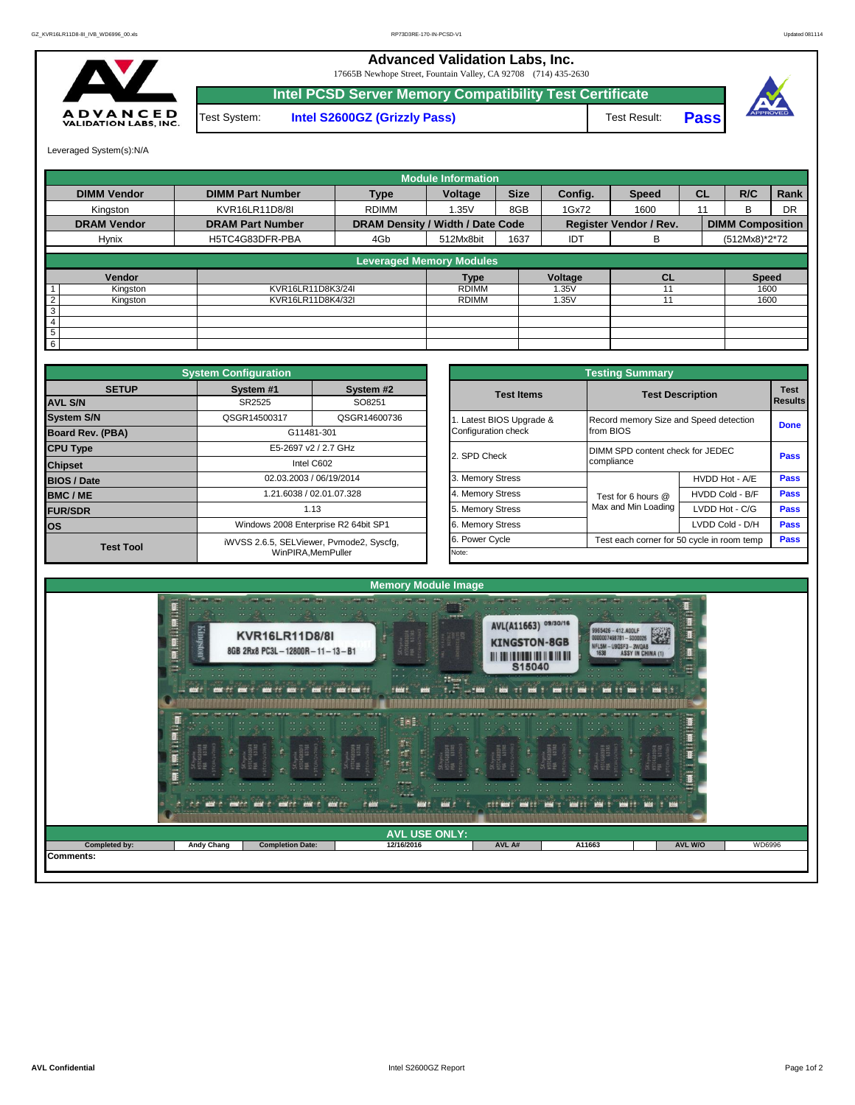**Advanced Validation Labs, Inc.**  17665B Newhope Street, Fountain Valley, CA 92708 (714) 435-2630



**Intel PCSD Server Memory Compatibility Test Certificate** Test System: **Intel S2600GZ (Grizzly Pass)** Test Result: **Pass** 



Leveraged System(s):N/A

|                            |                         |                                  | <b>Module Information</b> |             |            |                               |           |                         |           |
|----------------------------|-------------------------|----------------------------------|---------------------------|-------------|------------|-------------------------------|-----------|-------------------------|-----------|
| <b>DIMM Vendor</b>         | <b>DIMM Part Number</b> | <b>Type</b>                      | Voltage                   | <b>Size</b> | Config.    | <b>Speed</b>                  | <b>CL</b> | R/C                     | Rank      |
| Kingston                   | KVR16LR11D8/8I          | <b>RDIMM</b>                     | 1.35V                     | 8GB         | 1Gx72      | 1600                          | 11        | R                       | <b>DR</b> |
| <b>DRAM Vendor</b>         | <b>DRAM Part Number</b> | DRAM Density / Width / Date Code |                           |             |            | <b>Register Vendor / Rev.</b> |           | <b>DIMM Composition</b> |           |
| Hynix                      | H5TC4G83DFR-PBA         | 4Gb                              | 512Mx8bit                 | 1637        | <b>IDT</b> | В                             |           | (512Mx8)*2*72           |           |
|                            |                         | <b>Leveraged Memory Modules</b>  |                           |             |            |                               |           |                         |           |
| Vendor                     |                         |                                  | <b>Type</b>               |             | Voltage    | <b>CL</b>                     |           | <b>Speed</b>            |           |
| Kingston                   | KVR16LR11D8K3/24I       |                                  | <b>RDIMM</b>              |             | 1.35V      |                               |           | 1600                    |           |
| $\overline{2}$<br>Kingston | KVR16LR11D8K4/32I       |                                  | <b>RDIMM</b>              |             | 1.35V      |                               |           | 1600                    |           |
| 3                          |                         |                                  |                           |             |            |                               |           |                         |           |
| $\overline{4}$             |                         |                                  |                           |             |            |                               |           |                         |           |
| 5                          |                         |                                  |                           |             |            |                               |           |                         |           |
| 6                          |                         |                                  |                           |             |            |                               |           |                         |           |

|                         | <b>System Configuration</b>              |                                      |                       | <b>Testing Summary</b>                     |                         |                        |
|-------------------------|------------------------------------------|--------------------------------------|-----------------------|--------------------------------------------|-------------------------|------------------------|
| <b>SETUP</b>            | System #1                                | System #2                            | <b>Test Items</b>     |                                            | <b>Test Description</b> | <b>Test</b><br>Results |
| <b>AVL S/N</b>          | SR2525                                   | SO8251                               |                       |                                            |                         |                        |
| <b>System S/N</b>       | QSGR14500317                             | QSGR14600736                         | Latest BIOS Upgrade & | Record memory Size and Speed detection     |                         | <b>Done</b>            |
| <b>Board Rev. (PBA)</b> |                                          | G11481-301                           | Configuration check   | from BIOS                                  |                         |                        |
| <b>CPU Type</b>         |                                          | E5-2697 v2 / 2.7 GHz                 | 2. SPD Check          | DIMM SPD content check for JEDEC           |                         | <b>Pass</b>            |
| <b>Chipset</b>          |                                          | Intel C602                           |                       | compliance                                 |                         |                        |
| <b>BIOS / Date</b>      |                                          | 02.03.2003 / 06/19/2014              | 3. Memory Stress      |                                            | HVDD Hot - A/E          | <b>Pass</b>            |
| <b>BMC/ME</b>           |                                          | 1.21.6038 / 02.01.07.328             | 4. Memory Stress      | Test for 6 hours @                         | HVDD Cold - B/F         | <b>Pass</b>            |
| <b>FUR/SDR</b>          |                                          | 1.13                                 | 5. Memory Stress      | Max and Min Loading                        | LVDD Hot - C/G          | <b>Pass</b>            |
| <b>los</b>              |                                          | Windows 2008 Enterprise R2 64bit SP1 | 6. Memory Stress      |                                            | LVDD Cold - D/H         | <b>Pass</b>            |
| <b>Test Tool</b>        | iWVSS 2.6.5, SELViewer, Pvmode2, Syscfq, | 6. Power Cycle                       |                       | Test each corner for 50 cycle in room temp | <b>Pass</b>             |                        |
|                         |                                          | WinPIRA.MemPuller                    | Note:                 |                                            |                         |                        |

| <b>Testing Summary</b>                          |                                                     |                                            |                               |  |  |  |  |  |  |  |  |
|-------------------------------------------------|-----------------------------------------------------|--------------------------------------------|-------------------------------|--|--|--|--|--|--|--|--|
| <b>Test Items</b>                               | <b>Test Description</b>                             |                                            | <b>Test</b><br><b>Results</b> |  |  |  |  |  |  |  |  |
| 1. Latest BIOS Upgrade &<br>Configuration check | Record memory Size and Speed detection<br>from BIOS |                                            | <b>Done</b>                   |  |  |  |  |  |  |  |  |
| 2. SPD Check                                    | compliance                                          | DIMM SPD content check for JEDEC           |                               |  |  |  |  |  |  |  |  |
| 3. Memory Stress                                |                                                     | HVDD Hot - A/E                             | Pass                          |  |  |  |  |  |  |  |  |
| 4. Memory Stress                                | Test for 6 hours @                                  | HVDD Cold - B/F                            | <b>Pass</b>                   |  |  |  |  |  |  |  |  |
| 5. Memory Stress                                | Max and Min Loading                                 | LVDD Hot - C/G                             | <b>Pass</b>                   |  |  |  |  |  |  |  |  |
| 6. Memory Stress                                |                                                     | LVDD Cold - D/H                            | <b>Pass</b>                   |  |  |  |  |  |  |  |  |
| 6. Power Cycle                                  |                                                     | Test each corner for 50 cycle in room temp |                               |  |  |  |  |  |  |  |  |
| Note:                                           |                                                     |                                            |                               |  |  |  |  |  |  |  |  |

|               | 星星<br>Kingston<br>星<br>-<br><b>COMPARTMENT COMPARTMENT</b><br><b>COMPANY</b> | $\cdots$<br><b>KVR16LR11D8/8I</b><br>8GB 2Rx8 PC3L-12800R-11-13-B1<br>and a subset of the season of the<br><b>BOOK TT BOOK T"</b>            | meeting.<br>2355<br>$\label{eq:2} \begin{array}{ll} \bullet & \bullet \bullet \end{array}$<br>$\cdots$<br>75-435<br><b>ROOM</b> TO ROOM TROOM TO<br>t bint t       | and a common<br>AVL(A11663) 09/30/16<br><b>KINGSTON-8GB</b><br>S15040 | <b>CALCULUS</b><br>9965426-412.AOOLF<br>0000007498781-S000026<br>NFL5M-U9QSF3-3WQAB<br>ASSY IN CHINA<br>1638<br><b>STATISTICS</b> | $-10 - 10$<br><b>End</b> Title |        |
|---------------|------------------------------------------------------------------------------|----------------------------------------------------------------------------------------------------------------------------------------------|--------------------------------------------------------------------------------------------------------------------------------------------------------------------|-----------------------------------------------------------------------|-----------------------------------------------------------------------------------------------------------------------------------|--------------------------------|--------|
|               | B.                                                                           |                                                                                                                                              | Eis E:<br><b>「大人の人」</b>                                                                                                                                            |                                                                       |                                                                                                                                   |                                |        |
| Completed by: | Andy Chang                                                                   | $- - -$<br>$\cdot$ $\cdot$<br>.<br>$-256$ = $-572$ = $-575$ = $-575$ = $-575$<br><b>BOOK</b><br><b>CONTRACTOR</b><br><b>Completion Date:</b> | 5"W Stat<br>$\cdots$<br>$\cdot$ $\cdot$ $\cdot$<br>$\cdots$<br>$-1$<br>PASH<br><b>WHAT EXECUT</b><br>Joing a P. B. BORGAO ()<br><b>AVL USE ONLY:</b><br>12/16/2016 | $\sim$<br>AVL A#                                                      | <b>ROOF FIRE</b><br>ALL AND<br>A11663                                                                                             | - 2007<br>AVL W/O              | WD6996 |